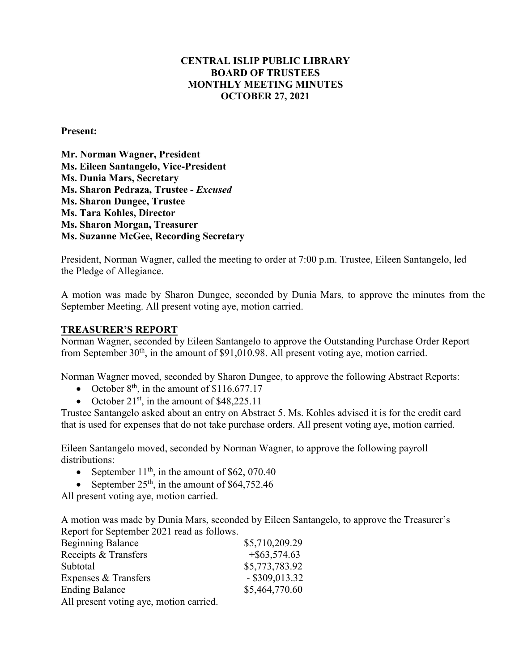# **CENTRAL ISLIP PUBLIC LIBRARY BOARD OF TRUSTEES MONTHLY MEETING MINUTES OCTOBER 27, 2021**

#### **Present:**

**Mr. Norman Wagner, President Ms. Eileen Santangelo, Vice-President Ms. Dunia Mars, Secretary Ms. Sharon Pedraza, Trustee** *- Excused*  **Ms. Sharon Dungee, Trustee Ms. Tara Kohles, Director Ms. Sharon Morgan, Treasurer Ms. Suzanne McGee, Recording Secretary**

President, Norman Wagner, called the meeting to order at 7:00 p.m. Trustee, Eileen Santangelo, led the Pledge of Allegiance.

A motion was made by Sharon Dungee, seconded by Dunia Mars, to approve the minutes from the September Meeting. All present voting aye, motion carried.

#### **TREASURER'S REPORT**

Norman Wagner, seconded by Eileen Santangelo to approve the Outstanding Purchase Order Report from September  $30<sup>th</sup>$ , in the amount of \$91,010.98. All present voting aye, motion carried.

Norman Wagner moved, seconded by Sharon Dungee, to approve the following Abstract Reports:

- October  $8<sup>th</sup>$ , in the amount of \$116.677.17
- October  $21^{st}$ , in the amount of \$48,225.11

Trustee Santangelo asked about an entry on Abstract 5. Ms. Kohles advised it is for the credit card that is used for expenses that do not take purchase orders. All present voting aye, motion carried.

Eileen Santangelo moved, seconded by Norman Wagner, to approve the following payroll distributions:

- September  $11<sup>th</sup>$ , in the amount of \$62, 070.40
- September  $25<sup>th</sup>$ , in the amount of \$64,752.46

All present voting aye, motion carried.

A motion was made by Dunia Mars, seconded by Eileen Santangelo, to approve the Treasurer's Report for September 2021 read as follows.

| <b>Beginning Balance</b>                | \$5,710,209.29   |
|-----------------------------------------|------------------|
| Receipts & Transfers                    | $+$ \$63,574.63  |
| Subtotal                                | \$5,773,783.92   |
| Expenses & Transfers                    | $-$ \$309,013.32 |
| <b>Ending Balance</b>                   | \$5,464,770.60   |
| All present voting aye, motion carried. |                  |